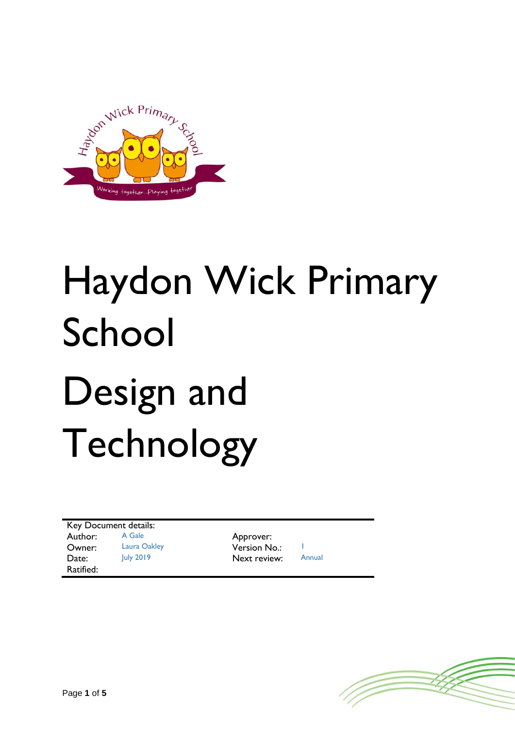

# Haydon Wick Primary School Design and Technology

Key Document details:<br>Author: A Gale Owner: Laura Oakley Version No.: 1 Date: July 2019 Next review: Annual Ratified:

A Gale **Approver:**<br>
Laura Oakley **Approver:**<br>
Version N

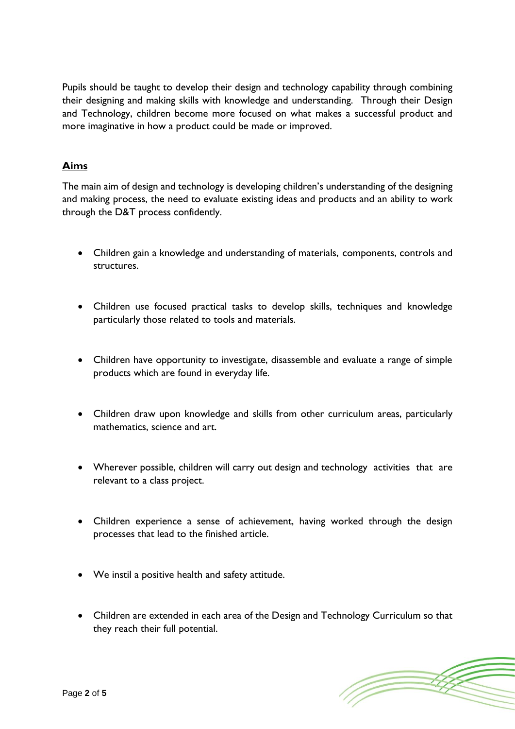Pupils should be taught to develop their design and technology capability through combining their designing and making skills with knowledge and understanding. Through their Design and Technology, children become more focused on what makes a successful product and more imaginative in how a product could be made or improved.

# **Aims**

The main aim of design and technology is developing children's understanding of the designing and making process, the need to evaluate existing ideas and products and an ability to work through the D&T process confidently.

- Children gain a knowledge and understanding of materials, components, controls and structures.
- Children use focused practical tasks to develop skills, techniques and knowledge particularly those related to tools and materials.
- Children have opportunity to investigate, disassemble and evaluate a range of simple products which are found in everyday life.
- Children draw upon knowledge and skills from other curriculum areas, particularly mathematics, science and art.
- Wherever possible, children will carry out design and technology activities that are relevant to a class project.
- Children experience a sense of achievement, having worked through the design processes that lead to the finished article.
- We instil a positive health and safety attitude.
- Children are extended in each area of the Design and Technology Curriculum so that they reach their full potential.

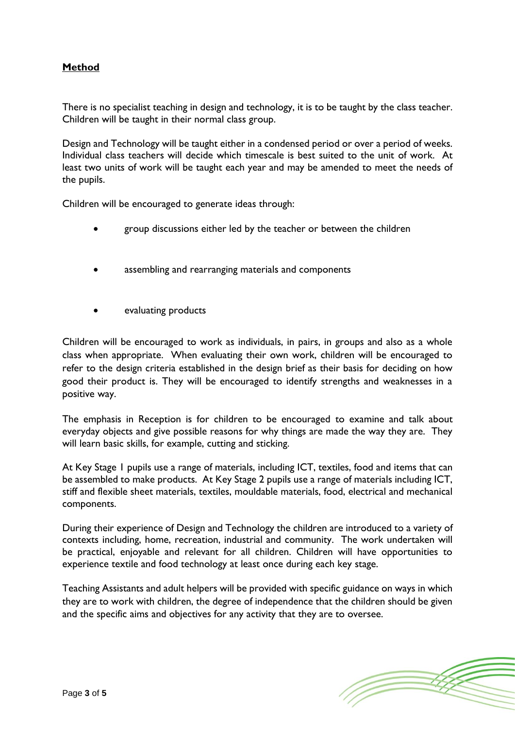# **Method**

There is no specialist teaching in design and technology, it is to be taught by the class teacher. Children will be taught in their normal class group.

Design and Technology will be taught either in a condensed period or over a period of weeks. Individual class teachers will decide which timescale is best suited to the unit of work. At least two units of work will be taught each year and may be amended to meet the needs of the pupils.

Children will be encouraged to generate ideas through:

- group discussions either led by the teacher or between the children
- assembling and rearranging materials and components
- evaluating products

Children will be encouraged to work as individuals, in pairs, in groups and also as a whole class when appropriate. When evaluating their own work, children will be encouraged to refer to the design criteria established in the design brief as their basis for deciding on how good their product is. They will be encouraged to identify strengths and weaknesses in a positive way.

The emphasis in Reception is for children to be encouraged to examine and talk about everyday objects and give possible reasons for why things are made the way they are. They will learn basic skills, for example, cutting and sticking.

At Key Stage 1 pupils use a range of materials, including ICT, textiles, food and items that can be assembled to make products. At Key Stage 2 pupils use a range of materials including ICT, stiff and flexible sheet materials, textiles, mouldable materials, food, electrical and mechanical components.

During their experience of Design and Technology the children are introduced to a variety of contexts including, home, recreation, industrial and community. The work undertaken will be practical, enjoyable and relevant for all children. Children will have opportunities to experience textile and food technology at least once during each key stage.

Teaching Assistants and adult helpers will be provided with specific guidance on ways in which they are to work with children, the degree of independence that the children should be given and the specific aims and objectives for any activity that they are to oversee.

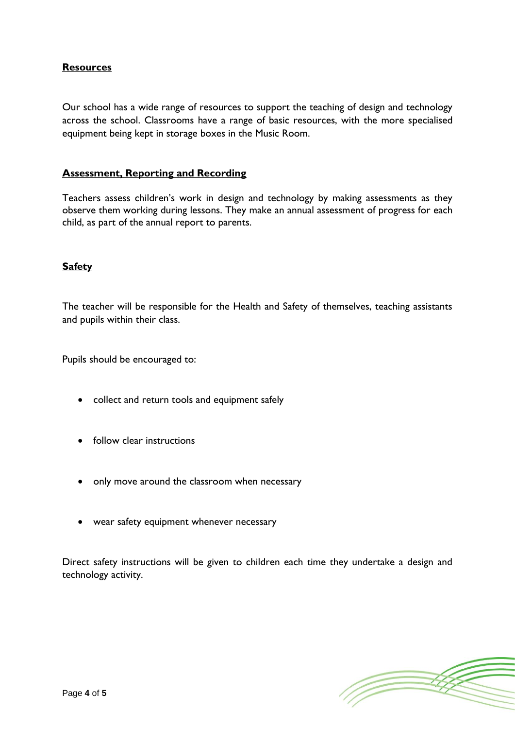# **Resources**

Our school has a wide range of resources to support the teaching of design and technology across the school. Classrooms have a range of basic resources, with the more specialised equipment being kept in storage boxes in the Music Room.

## **Assessment, Reporting and Recording**

Teachers assess children's work in design and technology by making assessments as they observe them working during lessons. They make an annual assessment of progress for each child, as part of the annual report to parents.

#### **Safety**

The teacher will be responsible for the Health and Safety of themselves, teaching assistants and pupils within their class.

Pupils should be encouraged to:

- collect and return tools and equipment safely
- follow clear instructions
- only move around the classroom when necessary
- wear safety equipment whenever necessary

Direct safety instructions will be given to children each time they undertake a design and technology activity.